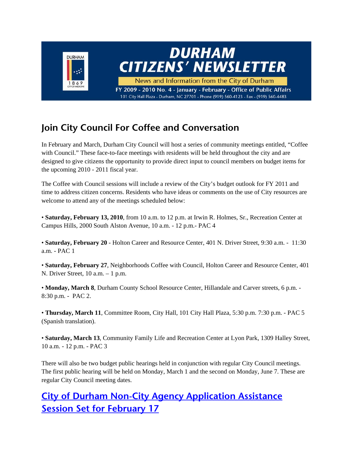

### **Join City Council For Coffee and Conversation**

In February and March, Durham City Council will host a series of community meetings entitled, "Coffee with Council." These face-to-face meetings with residents will be held throughout the city and are designed to give citizens the opportunity to provide direct input to council members on budget items for the upcoming 2010 - 2011 fiscal year.

The Coffee with Council sessions will include a review of the City's budget outlook for FY 2011 and time to address citizen concerns. Residents who have ideas or comments on the use of City resources are welcome to attend any of the meetings scheduled below:

• **Saturday, February 13, 2010**, from 10 a.m. to 12 p.m. at Irwin R. Holmes, Sr., Recreation Center at Campus Hills, 2000 South Alston Avenue, 10 a.m. - 12 p.m.- PAC 4

• **Saturday, February 20** - Holton Career and Resource Center, 401 N. Driver Street, 9:30 a.m. - 11:30 a.m. - PAC 1

• **Saturday, February 27**, Neighborhoods Coffee with Council, Holton Career and Resource Center, 401 N. Driver Street, 10 a.m. – 1 p.m.

• **Monday, March 8**, Durham County School Resource Center, Hillandale and Carver streets, 6 p.m. - 8:30 p.m. - PAC 2.

• **Thursday, March 11**, Committee Room, City Hall, 101 City Hall Plaza, 5:30 p.m. 7:30 p.m. - PAC 5 (Spanish translation).

• **Saturday, March 13**, Community Family Life and Recreation Center at Lyon Park, 1309 Halley Street, 10 a.m. - 12 p.m. - PAC 3

There will also be two budget public hearings held in conjunction with regular City Council meetings. The first public hearing will be held on Monday, March 1 and the second on Monday, June 7. These are regular City Council meeting dates.

## **City of Durham Non-City Agency Application Assistance Session Set for February 17**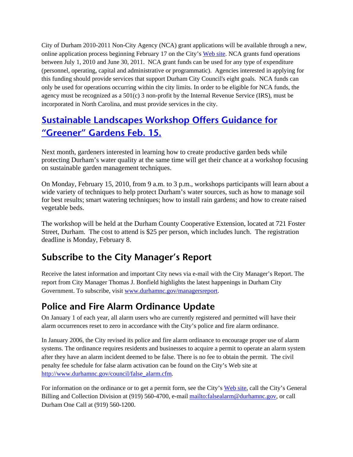City of Durham 2010-2011 Non-City Agency (NCA) grant applications will be available through a new, online application process beginning February 17 on the City's Web site. NCA grants fund operations between July 1, 2010 and June 30, 2011. NCA grant funds can be used for any type of expenditure (personnel, operating, capital and administrative or programmatic). Agencies interested in applying for this funding should provide services that support Durham City Council's eight goals. NCA funds can only be used for operations occurring within the city limits. In order to be eligible for NCA funds, the agency must be recognized as a  $501(c)$  3 non-profit by the Internal Revenue Service (IRS), must be incorporated in North Carolina, and must provide services in the city.

### **Sustainable Landscapes Workshop Offers Guidance for "Greener" Gardens Feb. 15.**

Next month, gardeners interested in learning how to create productive garden beds while protecting Durham's water quality at the same time will get their chance at a workshop focusing on sustainable garden management techniques.

On Monday, February 15, 2010, from 9 a.m. to 3 p.m., workshops participants will learn about a wide variety of techniques to help protect Durham's water sources, such as how to manage soil for best results; smart watering techniques; how to install rain gardens; and how to create raised vegetable beds.

The workshop will be held at the Durham County Cooperative Extension, located at 721 Foster Street, Durham. The cost to attend is \$25 per person, which includes lunch. The registration deadline is Monday, February 8.

#### **Subscribe to the City Manager's Report**

Receive the latest information and important City news via e-mail with the City Manager's Report. The report from City Manager Thomas J. Bonfield highlights the latest happenings in Durham City Government. To subscribe, visit www.durhamnc.gov/managersreport.

### **Police and Fire Alarm Ordinance Update**

On January 1 of each year, all alarm users who are currently registered and permitted will have their alarm occurrences reset to zero in accordance with the City's police and fire alarm ordinance.

In January 2006, the City revised its police and fire alarm ordinance to encourage proper use of alarm systems. The ordinance requires residents and businesses to acquire a permit to operate an alarm system after they have an alarm incident deemed to be false. There is no fee to obtain the permit. The civil penalty fee schedule for false alarm activation can be found on the City's Web site at http://www.durhamnc.gov/council/false\_alarm.cfm.

For information on the ordinance or to get a permit form, see the City's Web site, call the City's General Billing and Collection Division at (919) 560-4700, e-mail mailto:falsealarm@durhamnc.gov, or call Durham One Call at (919) 560-1200.